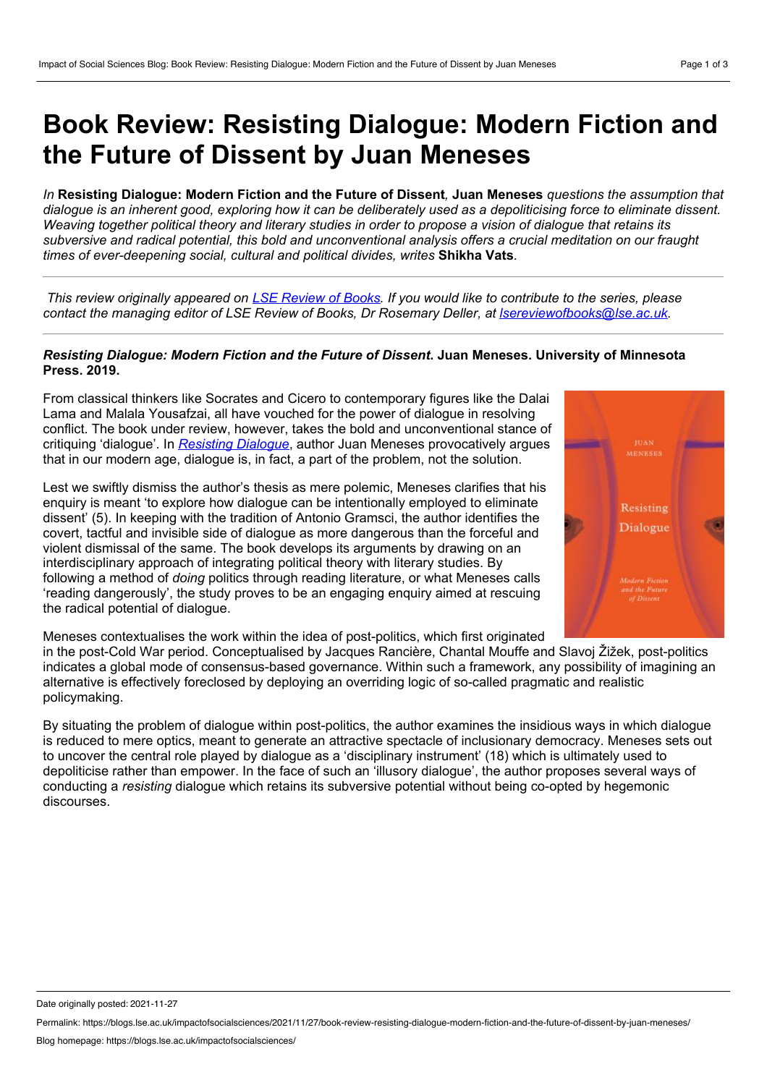## **Book Review: Resisting Dialogue: Modern Fiction and the Future of Dissent by Juan Meneses**

In Resisting Dialogue: Modern Fiction and the Future of Dissent. Juan Meneses *questions the assumption that* dialoque is an inherent good, exploring how it can be deliberately used as a depoliticising force to eliminate dissent. Weaving together political theory and literary studies in order to propose a vision of dialogue that retains its subversive and radical potential, this bold and unconventional analysis offers a crucial meditation on our fraught *times of ever-deepening social, cultural and political divides, writes* **Shikha Vats***.*

This review originally appeared on LSE [Review](https://blogs.lse.ac.uk/lsereviewofbooks/) of Books. If you would like to contribute to the series, please *contact the managing editor of LSE Review of Books, Dr Rosemary Deller, at [lsereviewofbooks@lse.ac.uk.](mailto:lsereviewofbooks@lse.ac.uk)*

## *Resisting Dialogue: Modern Fiction and the Future of Dissent***. Juan Meneses. University of Minnesota Press. 2019.**

From classical thinkers like Socrates and Cicero to contemporary figures like the Dalai Lama and Malala Yousafzai, all have vouched for the power of dialogue in resolving conflict. The book under review, however, takes the bold and unconventional stance of critiquing 'dialogue'. In *[Resisting](https://www.upress.umn.edu/book-division/books/resisting-dialogue) Dialogue*, author Juan Meneses provocatively argues that in our modern age, dialogue is, in fact, a part of the problem, not the solution.

Lest we swiftly dismiss the author's thesis as mere polemic, Meneses clarifies that his enquiry is meant 'to explore how dialogue can be intentionally employed to eliminate dissent' (5). In keeping with the tradition of Antonio Gramsci, the author identifies the covert, tactful and invisible side of dialogue as more dangerous than the forceful and violent dismissal of the same. The book develops its arguments by drawing on an interdisciplinary approach of integrating political theory with literary studies. By following a method of *doing* politics through reading literature, or what Meneses calls 'reading dangerously', the study proves to be an engaging enquiry aimed at rescuing the radical potential of dialogue.



Meneses contextualises the work within the idea of post-politics, which first originated

in the post-Cold War period. Conceptualised by Jacques Rancière, Chantal Mouffe and Slavoj Žižek, post-politics indicates a global mode of consensus-based governance. Within such a framework, any possibility of imagining an alternative is effectively foreclosed by deploying an overriding logic of so-called pragmatic and realistic policymaking.

By situating the problem of dialogue within post-politics, the author examines the insidious ways in which dialogue is reduced to mere optics, meant to generate an attractive spectacle of inclusionary democracy. Meneses sets out to uncover the central role played by dialogue as a 'disciplinary instrument' (18) which is ultimately used to depoliticise rather than empower. In the face of such an 'illusory dialogue', the author proposes several ways of conducting a *resisting* dialogue which retains its subversive potential without being co-opted by hegemonic discourses.

Date originally posted: 2021-11-27

Permalink: https://blogs.lse.ac.uk/impactofsocialsciences/2021/11/27/book-review-resisting-dialogue-modern-fiction-and-the-future-of-dissent-by-juan-meneses/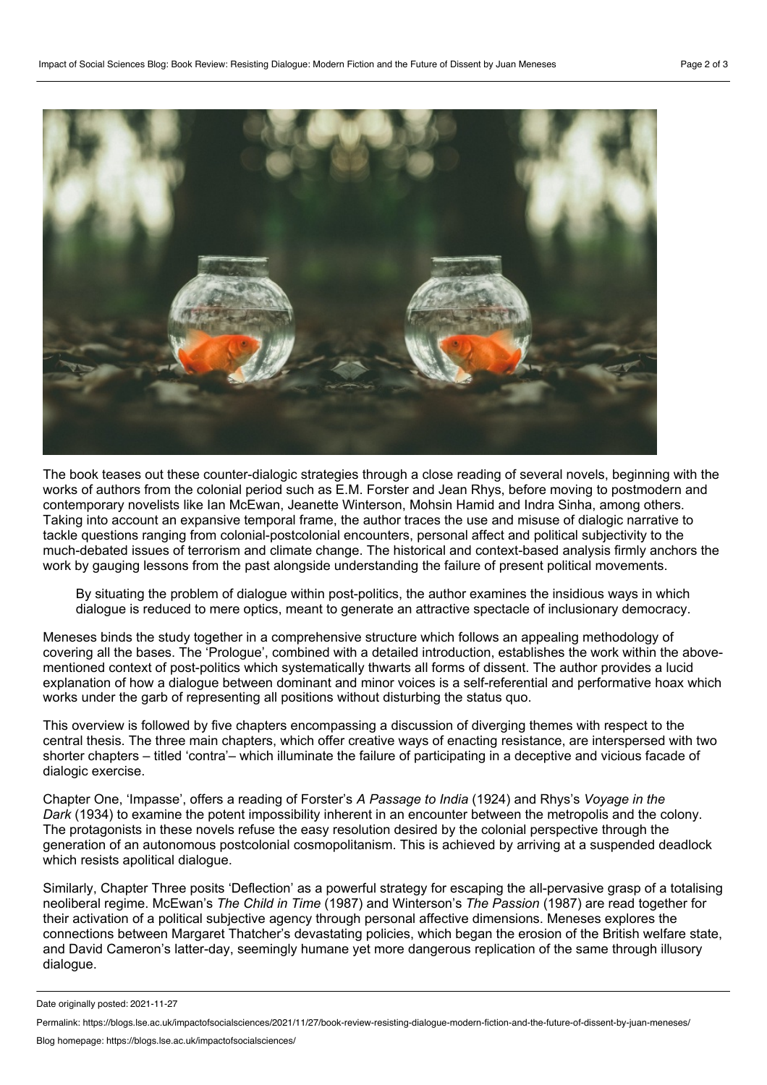

The book teases out these counter-dialogic strategies through a close reading of several novels, beginning with the works of authors from the colonial period such as E.M. Forster and Jean Rhys, before moving to postmodern and contemporary novelists like Ian McEwan, Jeanette Winterson, Mohsin Hamid and Indra Sinha, among others. Taking into account an expansive temporal frame, the author traces the use and misuse of dialogic narrative to tackle questions ranging from colonial-postcolonial encounters, personal affect and political subjectivity to the much-debated issues of terrorism and climate change. The historical and context-based analysis firmly anchors the work by gauging lessons from the past alongside understanding the failure of present political movements.

By situating the problem of dialogue within post-politics, the author examines the insidious ways in which dialogue is reduced to mere optics, meant to generate an attractive spectacle of inclusionary democracy.

Meneses binds the study together in a comprehensive structure which follows an appealing methodology of covering all the bases. The 'Prologue', combined with a detailed introduction, establishes the work within the above mentioned context of post-politics which systematically thwarts all forms of dissent. The author provides a lucid explanation of how a dialogue between dominant and minor voices is a self-referential and performative hoax which works under the garb of representing all positions without disturbing the status quo.

This overview is followed by five chapters encompassing a discussion of diverging themes with respect to the central thesis. The three main chapters, which offer creative ways of enacting resistance, are interspersed with two shorter chapters – titled 'contra'– which illuminate the failure of participating in a deceptive and vicious facade of dialogic exercise.

Chapter One, 'Impasse', offers a reading of Forster's *A Passage to India* (1924) and Rhys's *Voyage in the Dark* (1934) to examine the potent impossibility inherent in an encounter between the metropolis and the colony. The protagonists in these novels refuse the easy resolution desired by the colonial perspective through the generation of an autonomous postcolonial cosmopolitanism. This is achieved by arriving at a suspended deadlock which resists apolitical dialogue.

Similarly, Chapter Three posits 'Deflection' as a powerful strategy for escaping the all-pervasive grasp of a totalising neoliberal regime. McEwan's *The Child in Time* (1987) and Winterson's *The Passion* (1987) are read together for their activation of a political subjective agency through personal affective dimensions. Meneses explores the connections between Margaret Thatcher's devastating policies, which began the erosion of the British welfare state, and David Cameron's latter-day, seemingly humane yet more dangerous replication of the same through illusory dialogue.

Date originally posted: 2021-11-27

Permalink: https://blogs.lse.ac.uk/impactofsocialsciences/2021/11/27/book-review-resisting-dialogue-modern-fiction-and-the-future-of-dissent-by-juan-meneses/